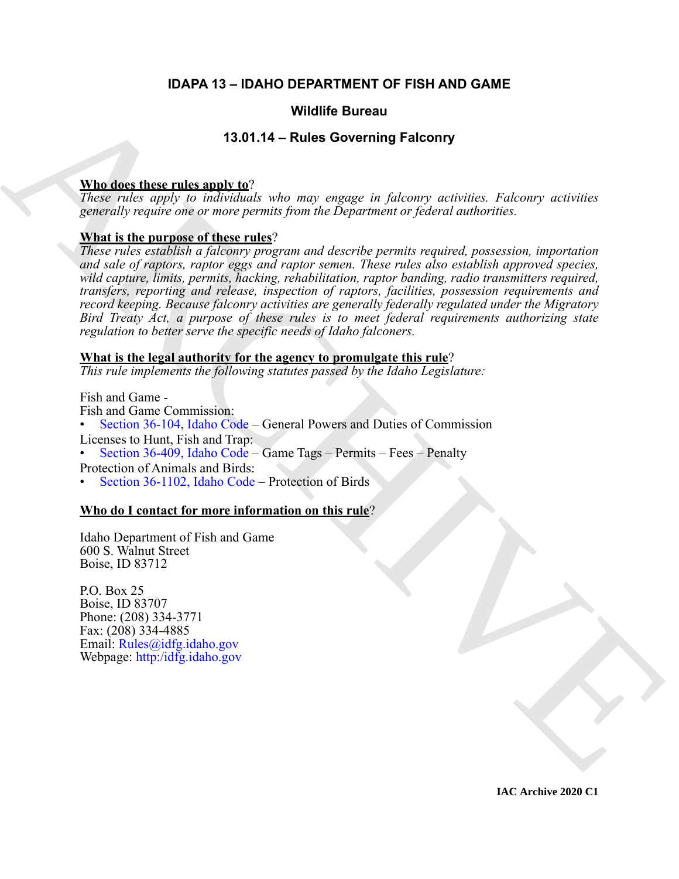#### **IDAPA 13 – IDAHO DEPARTMENT OF FISH AND GAME**

#### **Wildlife Bureau**

#### **13.01.14 – Rules Governing Falconry**

#### **Who does these rules apply to**?

*These rules apply to individuals who may engage in falconry activities. Falconry activities generally require one or more permits from the Department or federal authorities.*

#### **What is the purpose of these rules**?

**Withirs Bureau 1998**<br>
13.0144 - Rules Governing Falconry<br>
These roles apply to nothrobal, who near engage is folcomry activities. Falcomey originals,<br>
Rules is the particular of the relax<br>
Near is the particular of the p *These rules establish a falconry program and describe permits required, possession, importation and sale of raptors, raptor eggs and raptor semen. These rules also establish approved species, wild capture, limits, permits, hacking, rehabilitation, raptor banding, radio transmitters required, transfers, reporting and release, inspection of raptors, facilities, possession requirements and record keeping. Because falconry activities are generally federally regulated under the Migratory Bird Treaty Act, a purpose of these rules is to meet federal requirements authorizing state regulation to better serve the specific needs of Idaho falconers.*

#### **What is the legal authority for the agency to promulgate this rule**?

*This rule implements the following statutes passed by the Idaho Legislature:*

Fish and Game - Fish and Game Commission: • Section 36-104, Idaho Code – General Powers and Duties of Commission Licenses to Hunt, Fish and Trap: • Section 36-409, Idaho Code – Game Tags – Permits – Fees – Penalty Protection of Animals and Birds: • Section 36-1102, Idaho Code – Protection of Birds

#### **Who do I contact for more information on this rule**?

Idaho Department of Fish and Game 600 S. Walnut Street Boise, ID 83712

P.O. Box 25 Boise, ID 83707 Phone: (208) 334-3771 Fax: (208) 334-4885 Email: Rules@idfg.idaho.gov Webpage: http:/idfg.idaho.gov

**IAC Archive 2020 C1**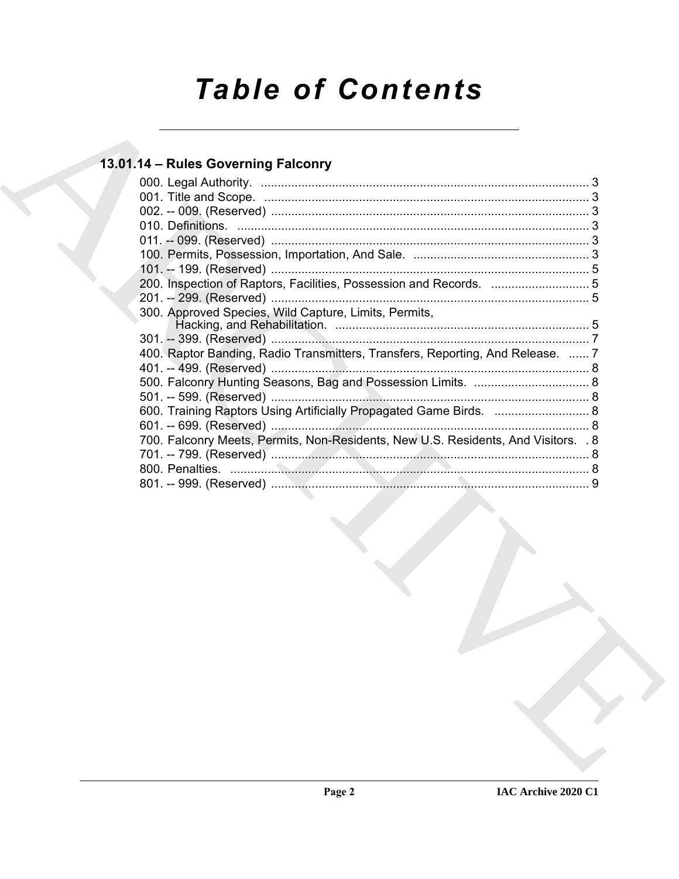# **Table of Contents**

### 13.01.14 - Rules Governing Falconry

| 300. Approved Species, Wild Capture, Limits, Permits,                              |  |
|------------------------------------------------------------------------------------|--|
|                                                                                    |  |
| 400. Raptor Banding, Radio Transmitters, Transfers, Reporting, And Release.  7     |  |
|                                                                                    |  |
|                                                                                    |  |
|                                                                                    |  |
| 600. Training Raptors Using Artificially Propagated Game Birds.  8                 |  |
|                                                                                    |  |
| 700. Falconry Meets, Permits, Non-Residents, New U.S. Residents, And Visitors. . 8 |  |
|                                                                                    |  |
|                                                                                    |  |
|                                                                                    |  |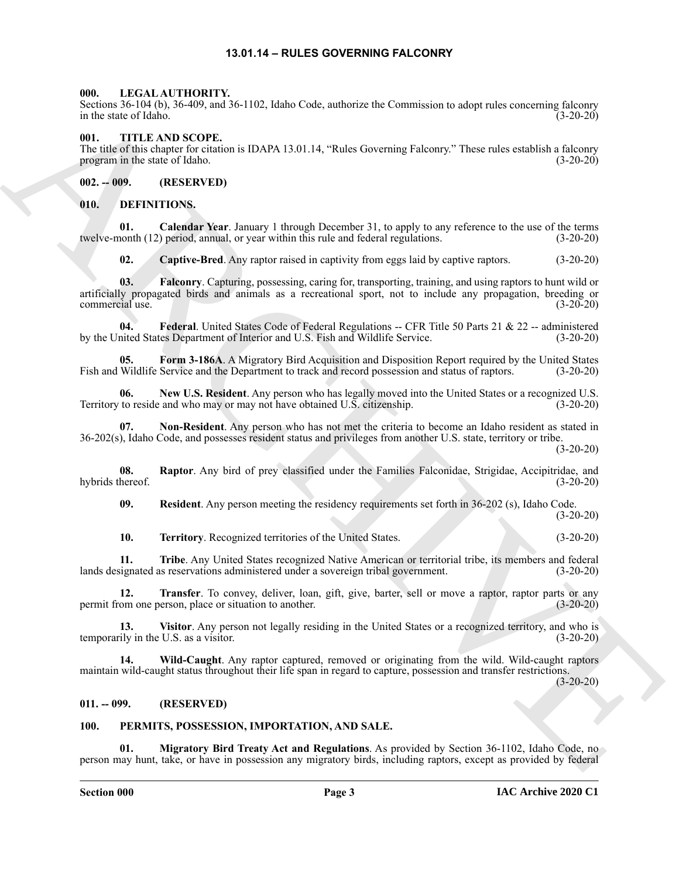#### **13.01.14 – RULES GOVERNING FALCONRY**

#### <span id="page-2-22"></span><span id="page-2-1"></span><span id="page-2-0"></span>**000. LEGAL AUTHORITY.**

Sections 36-104 (b), 36-409, and 36-1102, Idaho Code, authorize the Commission to adopt rules concerning falconry in the state of Idaho. (3-20-20)

#### <span id="page-2-2"></span>**001. TITLE AND SCOPE.**

The title of this chapter for citation is IDAPA 13.01.14, "Rules Governing Falconry." These rules establish a falconry program in the state of Idaho. (3-20-20)

<span id="page-2-3"></span>**002. -- 009. (RESERVED)**

#### <span id="page-2-7"></span><span id="page-2-4"></span>**010. DEFINITIONS.**

**01. Calendar Year**. January 1 through December 31, to apply to any reference to the use of the terms nonth (12) period, annual, or year within this rule and federal regulations. (3-20-20) twelve-month (12) period, annual, or year within this rule and federal regulations.

<span id="page-2-11"></span><span id="page-2-10"></span><span id="page-2-9"></span><span id="page-2-8"></span>**02. Captive-Bred**. Any raptor raised in captivity from eggs laid by captive raptors. (3-20-20)

Scale 35-16 133, 34-402, and 36-1102, both Cole, evaluation the particular state state for the state of the state of the state of the state of the state of the state of the state of the state of the state of the state of **03. Falconry**. Capturing, possessing, caring for, transporting, training, and using raptors to hunt wild or artificially propagated birds and animals as a recreational sport, not to include any propagation, breeding or commercial use.

**04. Federal**. United States Code of Federal Regulations -- CFR Title 50 Parts 21 & 22 -- administered by the United States Department of Interior and U.S. Fish and Wildlife Service. (3-20-20)

<span id="page-2-12"></span>**05.** Form 3-186A. A Migratory Bird Acquisition and Disposition Report required by the United States Wildlife Service and the Department to track and record possession and status of raptors. (3-20-20) Fish and Wildlife Service and the Department to track and record possession and status of raptors.

<span id="page-2-13"></span>**06. New U.S. Resident**. Any person who has legally moved into the United States or a recognized U.S. Territory to reside and who may or may not have obtained U.S. citizenship. (3-20-20)

<span id="page-2-14"></span>**07. Non-Resident**. Any person who has not met the criteria to become an Idaho resident as stated in 36-202(s), Idaho Code, and possesses resident status and privileges from another U.S. state, territory or tribe.

(3-20-20)

**08. Raptor**. Any bird of prey classified under the Families Falconidae, Strigidae, Accipitridae, and hybrids thereof. (3-20-20)

<span id="page-2-16"></span><span id="page-2-15"></span>**09. Resident**. Any person meeting the residency requirements set forth in 36-202 (s), Idaho Code. (3-20-20)

<span id="page-2-19"></span><span id="page-2-18"></span><span id="page-2-17"></span>**10. Territory**. Recognized territories of the United States. (3-20-20)

**11. Tribe**. Any United States recognized Native American or territorial tribe, its members and federal lands designated as reservations administered under a sovereign tribal government. (3-20-20)

**12. Transfer**. To convey, deliver, loan, gift, give, barter, sell or move a raptor, raptor parts or any om one person, place or situation to another. (3-20-20) permit from one person, place or situation to another.

<span id="page-2-20"></span>**13.** Visitor. Any person not legally residing in the United States or a recognized territory, and who is ily in the U.S. as a visitor. (3-20-20) temporarily in the U.S. as a visitor.

<span id="page-2-21"></span>**14. Wild-Caught**. Any raptor captured, removed or originating from the wild. Wild-caught raptors maintain wild-caught status throughout their life span in regard to capture, possession and transfer restrictions.

 $(3-20-20)$ 

#### <span id="page-2-5"></span>**011. -- 099. (RESERVED)**

#### <span id="page-2-24"></span><span id="page-2-23"></span><span id="page-2-6"></span>**100. PERMITS, POSSESSION, IMPORTATION, AND SALE.**

**01. Migratory Bird Treaty Act and Regulations**. As provided by Section 36-1102, Idaho Code, no person may hunt, take, or have in possession any migratory birds, including raptors, except as provided by federal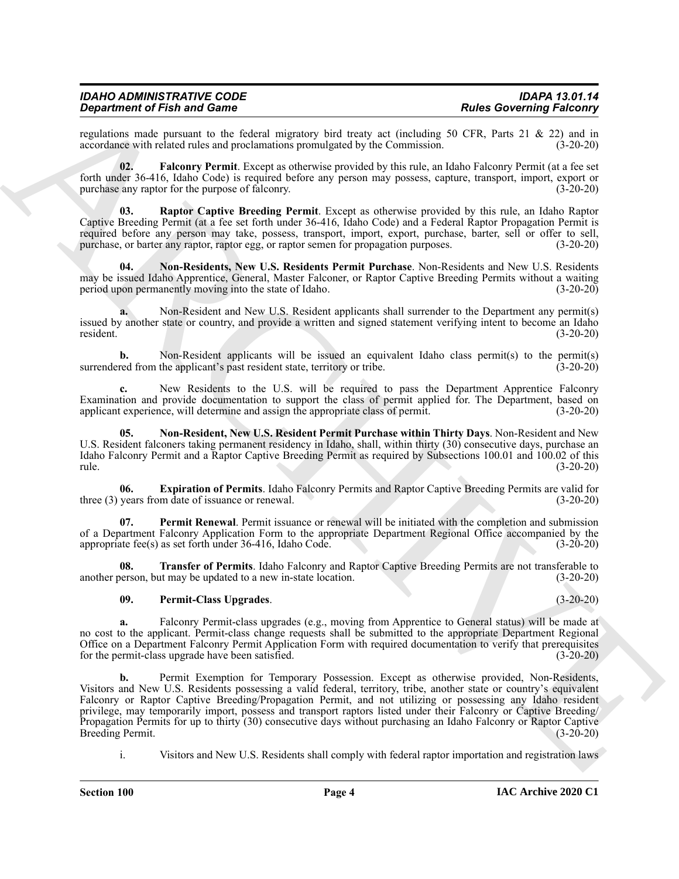| <b>IDAHO ADMINISTRATIVE CODE</b>   | <b>IDAPA 13.01.14</b>           |
|------------------------------------|---------------------------------|
| <b>Department of Fish and Game</b> | <b>Rules Governing Falconry</b> |

regulations made pursuant to the federal migratory bird treaty act (including 50 CFR, Parts 21 & 22) and in accordance with related rules and proclamations promulgated by the Commission. (3-20-20) accordance with related rules and proclamations promulgated by the Commission.

<span id="page-3-1"></span>**02. Falconry Permit**. Except as otherwise provided by this rule, an Idaho Falconry Permit (at a fee set forth under 36-416, Idaho Code) is required before any person may possess, capture, transport, import, export or purchase any raptor for the purpose of falconry. (3-20-20)

<span id="page-3-6"></span>**03. Raptor Captive Breeding Permit**. Except as otherwise provided by this rule, an Idaho Raptor Captive Breeding Permit (at a fee set forth under 36-416, Idaho Code) and a Federal Raptor Propagation Permit is required before any person may take, possess, transport, import, export, purchase, barter, sell or offer to sell, purchase, or barter any raptor, raptor egg, or raptor semen for propagation purposes. (3-20-20)

<span id="page-3-3"></span>**04. Non-Residents, New U.S. Residents Permit Purchase**. Non-Residents and New U.S. Residents may be issued Idaho Apprentice, General, Master Falconer, or Raptor Captive Breeding Permits without a waiting period upon permanently moving into the state of Idaho. (3-20-20)

**a.** Non-Resident and New U.S. Resident applicants shall surrender to the Department any permit(s) issued by another state or country, and provide a written and signed statement verifying intent to become an Idaho resident. (3-20-20)

**b.** Non-Resident applicants will be issued an equivalent Idaho class permit(s) to the permit(s) red from the applicant's past resident state, territory or tribe. (3-20-20) surrendered from the applicant's past resident state, territory or tribe.

**c.** New Residents to the U.S. will be required to pass the Department Apprentice Falconry Examination and provide documentation to support the class of permit applied for. The Department, based on applicant experience, will determine and assign the appropriate class of permit. (3-20-20)

<span id="page-3-2"></span>**05. Non-Resident, New U.S. Resident Permit Purchase within Thirty Days**. Non-Resident and New U.S. Resident falconers taking permanent residency in Idaho, shall, within thirty (30) consecutive days, purchase an Idaho Falconry Permit and a Raptor Captive Breeding Permit as required by Subsections 100.01 and 100.02 of this rule. (3-20-20)

<span id="page-3-0"></span>**06. Expiration of Permits**. Idaho Falconry Permits and Raptor Captive Breeding Permits are valid for three (3) years from date of issuance or renewal. (3-20-20) (3-20-20)

<span id="page-3-4"></span>**07. Permit Renewal**. Permit issuance or renewal will be initiated with the completion and submission of a Department Falconry Application Form to the appropriate Department Regional Office accompanied by the appropriate fee(s) as set forth under 36-416, Idaho Code. (3-20-20)

**08. Transfer of Permits**. Idaho Falconry and Raptor Captive Breeding Permits are not transferable to another person, but may be updated to a new in-state location. (3-20-20)

#### <span id="page-3-7"></span><span id="page-3-5"></span>**09. Permit-Class Upgrades**. (3-20-20)

**a.** Falconry Permit-class upgrades (e.g., moving from Apprentice to General status) will be made at no cost to the applicant. Permit-class change requests shall be submitted to the appropriate Department Regional Office on a Department Falconry Permit Application Form with required documentation to verify that prerequisites for the permit-class upgrade have been satisfied. (3-20-20)

**Strain of Find and Games Constraints** (Solution the latter state in the latter state of the state of Find and Constraints (Solution 2018) and the state of the state of the state of the state of the state of the state of **b.** Permit Exemption for Temporary Possession. Except as otherwise provided, Non-Residents, Visitors and New U.S. Residents possessing a valid federal, territory, tribe, another state or country's equivalent Falconry or Raptor Captive Breeding/Propagation Permit, and not utilizing or possessing any Idaho resident privilege, may temporarily import, possess and transport raptors listed under their Falconry or Captive Breeding/ Propagation Permits for up to thirty (30) consecutive days without purchasing an Idaho Falconry or Raptor Captive<br>Breeding Permit. (3-20-20) Breeding Permit.

i. Visitors and New U.S. Residents shall comply with federal raptor importation and registration laws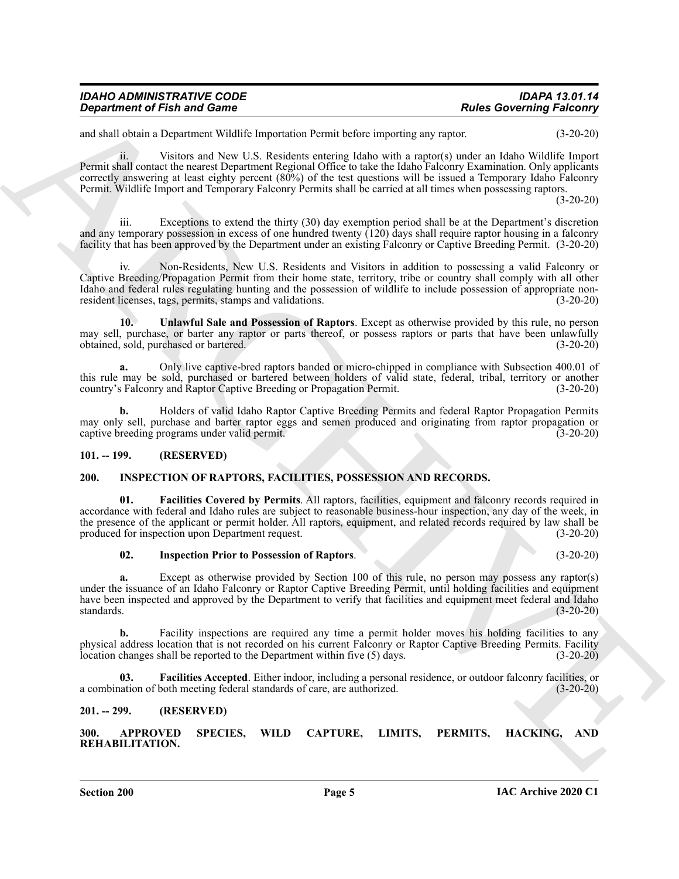| <b>IDAHO ADMINISTRATIVE CODE</b>   | <b>IDAPA 13.01.14</b>           |
|------------------------------------|---------------------------------|
| <b>Department of Fish and Game</b> | <b>Rules Governing Falconry</b> |

and shall obtain a Department Wildlife Importation Permit before importing any raptor. (3-20-20)

**Equivariant of Finit and Game<br>
Considering Factors' (Except the Constraint Scheme of the Constraint Scheme of the Constraint Scheme of Finit and Constraint Scheme of the Constraint Scheme of Finit and Constraint Scheme o** ii. Visitors and New U.S. Residents entering Idaho with a raptor(s) under an Idaho Wildlife Import Permit shall contact the nearest Department Regional Office to take the Idaho Falconry Examination. Only applicants correctly answering at least eighty percent (80%) of the test questions will be issued a Temporary Idaho Falconry Permit. Wildlife Import and Temporary Falconry Permits shall be carried at all times when possessing raptors.

(3-20-20)

iii. Exceptions to extend the thirty (30) day exemption period shall be at the Department's discretion and any temporary possession in excess of one hundred twenty (120) days shall require raptor housing in a falconry facility that has been approved by the Department under an existing Falconry or Captive Breeding Permit. (3-20-20)

iv. Non-Residents, New U.S. Residents and Visitors in addition to possessing a valid Falconry or Captive Breeding/Propagation Permit from their home state, territory, tribe or country shall comply with all other Idaho and federal rules regulating hunting and the possession of wildlife to include possession of appropriate nonresident licenses, tags, permits, stamps and validations. (3-20-20)

<span id="page-4-9"></span>**10. Unlawful Sale and Possession of Raptors**. Except as otherwise provided by this rule, no person may sell, purchase, or barter any raptor or parts thereof, or possess raptors or parts that have been unlawfully obtained, sold, purchased or bartered. (3-20-20)

**a.** Only live captive-bred raptors banded or micro-chipped in compliance with Subsection 400.01 of this rule may be sold, purchased or bartered between holders of valid state, federal, tribal, territory or another country's Falconry and Raptor Captive Breeding or Propagation Permit. (3-20-20)

**b.** Holders of valid Idaho Raptor Captive Breeding Permits and federal Raptor Propagation Permits may only sell, purchase and barter raptor eggs and semen produced and originating from raptor propagation or captive breeding programs under valid permit. (3-20-20) captive breeding programs under valid permit.

#### <span id="page-4-0"></span>**101. -- 199. (RESERVED)**

#### <span id="page-4-5"></span><span id="page-4-1"></span>**200. INSPECTION OF RAPTORS, FACILITIES, POSSESSION AND RECORDS.**

**01. Facilities Covered by Permits**. All raptors, facilities, equipment and falconry records required in accordance with federal and Idaho rules are subject to reasonable business-hour inspection, any day of the week, in the presence of the applicant or permit holder. All raptors, equipment, and related records required by law shall be produced for inspection upon Department request. (3-20-20)

#### <span id="page-4-8"></span><span id="page-4-7"></span>**02. Inspection Prior to Possession of Raptors**. (3-20-20)

**a.** Except as otherwise provided by Section 100 of this rule, no person may possess any raptor(s) under the issuance of an Idaho Falconry or Raptor Captive Breeding Permit, until holding facilities and equipment have been inspected and approved by the Department to verify that facilities and equipment meet federal and Idaho standards. (3-20-20) standards. (3-20-20)

Facility inspections are required any time a permit holder moves his holding facilities to any physical address location that is not recorded on his current Falconry or Raptor Captive Breeding Permits. Facility location changes shall be reported to the Department within five (5) days. (3-20-20)

<span id="page-4-6"></span>**03. Facilities Accepted**. Either indoor, including a personal residence, or outdoor falconry facilities, or a combination of both meeting federal standards of care, are authorized. (3-20-20)

#### <span id="page-4-2"></span>**201. -- 299. (RESERVED)**

<span id="page-4-4"></span><span id="page-4-3"></span>**300. APPROVED SPECIES, WILD CAPTURE, LIMITS, PERMITS, HACKING, AND REHABILITATION.**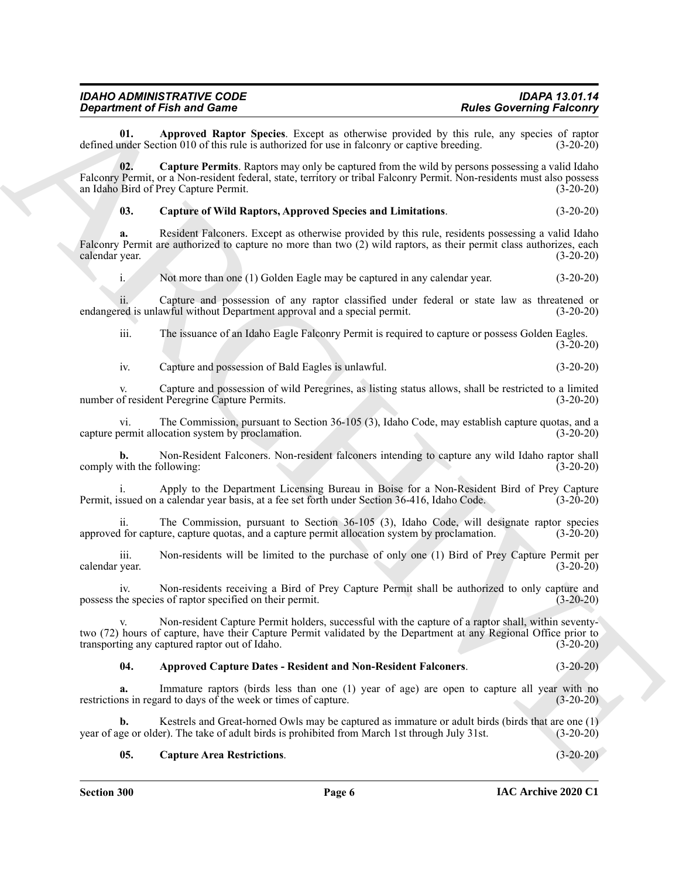| <b>IDAHO ADMINISTRATIVE CODE</b>   | <b>IDAPA 13.01.14</b>           |
|------------------------------------|---------------------------------|
| <b>Department of Fish and Game</b> | <b>Rules Governing Falconry</b> |

<span id="page-5-1"></span>**01. Approved Raptor Species**. Except as otherwise provided by this rule, any species of raptor under Section 010 of this rule is authorized for use in falcomry or captive breeding. (3-20-20) defined under Section 010 of this rule is authorized for use in falconry or captive breeding.

Gives the find and Connective the spatial states and the spatial base of the spatial base of the spatial base of the spatial base of the spatial base of the spatial base of the spatial base of the spatial base of the spat **02. Capture Permits**. Raptors may only be captured from the wild by persons possessing a valid Idaho Falconry Permit, or a Non-resident federal, state, territory or tribal Falconry Permit. Non-residents must also possess an Idaho Bird of Prey Capture Permit. (3-20-20)

#### <span id="page-5-3"></span>**03. Capture of Wild Raptors, Approved Species and Limitations**. (3-20-20)

**a.** Resident Falconers. Except as otherwise provided by this rule, residents possessing a valid Idaho Falconry Permit are authorized to capture no more than two (2) wild raptors, as their permit class authorizes, each calendar year. (3-20-20)

i. Not more than one (1) Golden Eagle may be captured in any calendar year. (3-20-20)

ii. Capture and possession of any raptor classified under federal or state law as threatened or red is unlawful without Department approval and a special permit. (3-20-20) endangered is unlawful without Department approval and a special permit.

iii. The issuance of an Idaho Eagle Falconry Permit is required to capture or possess Golden Eagles. (3-20-20)

iv. Capture and possession of Bald Eagles is unlawful. (3-20-20)

v. Capture and possession of wild Peregrines, as listing status allows, shall be restricted to a limited number of resident Peregrine Capture Permits. (3-20-20)

vi. The Commission, pursuant to Section 36-105 (3), Idaho Code, may establish capture quotas, and a capture permit allocation system by proclamation.

**b.** Non-Resident Falconers. Non-resident falconers intending to capture any wild Idaho raptor shall comply with the following: (3-20-20)

i. Apply to the Department Licensing Bureau in Boise for a Non-Resident Bird of Prey Capture Permit, issued on a calendar year basis, at a fee set forth under Section 36-416, Idaho Code. (3-20-20)

ii. The Commission, pursuant to Section 36-105 (3), Idaho Code, will designate raptor species<br>I for capture, capture quotas, and a capture permit allocation system by proclamation. (3-20-20) approved for capture, capture quotas, and a capture permit allocation system by proclamation.

iii. Non-residents will be limited to the purchase of only one (1) Bird of Prey Capture Permit per calendar year.

iv. Non-residents receiving a Bird of Prey Capture Permit shall be authorized to only capture and possess the species of raptor specified on their permit. (3-20-20)

v. Non-resident Capture Permit holders, successful with the capture of a raptor shall, within seventytwo (72) hours of capture, have their Capture Permit validated by the Department at any Regional Office prior to transporting any captured raptor out of Idaho. (3-20-20)

#### <span id="page-5-0"></span>**04. Approved Capture Dates - Resident and Non-Resident Falconers**. (3-20-20)

**a.** Immature raptors (birds less than one (1) year of age) are open to capture all year with no restrictions in regard to days of the week or times of capture. (3-20-20)

**b.** Kestrels and Great-horned Owls may be captured as immature or adult birds (birds that are one (1) ge or older). The take of adult birds is prohibited from March 1st through July 31st. (3-20-20) year of age or older). The take of adult birds is prohibited from March 1st through July 31st.

#### <span id="page-5-2"></span>**05. Capture Area Restrictions**. (3-20-20)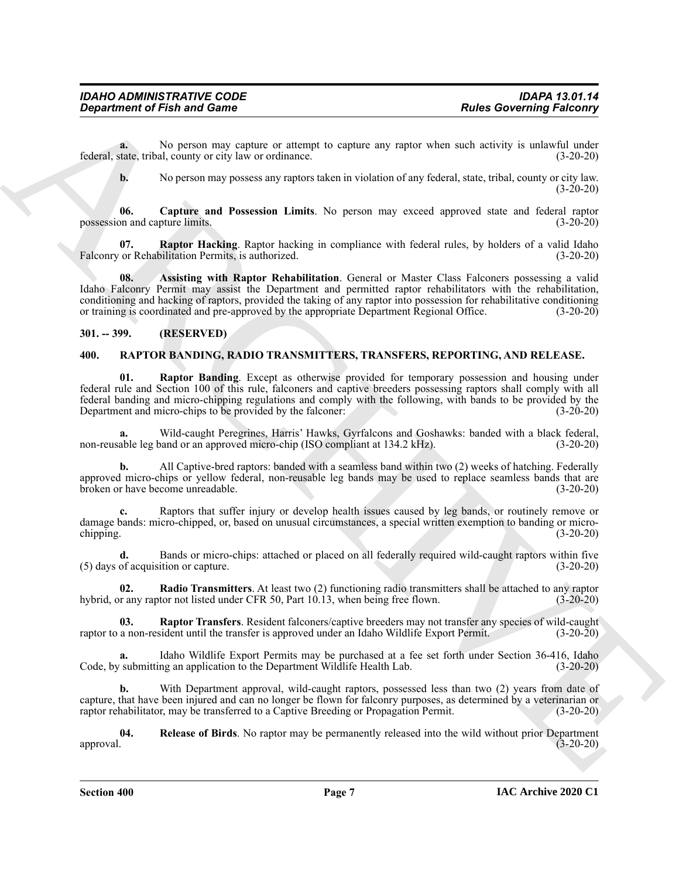**a.** No person may capture or attempt to capture any raptor when such activity is unlawful under federal, state, tribal, county or city law or ordinance. (3-20-20)

<span id="page-6-4"></span><span id="page-6-3"></span>**b.** No person may possess any raptors taken in violation of any federal, state, tribal, county or city law.  $(3-20-20)$ 

**06. Capture and Possession Limits**. No person may exceed approved state and federal raptor possession and capture limits. (3-20-20)

**07. Raptor Hacking**. Raptor hacking in compliance with federal rules, by holders of a valid Idaho Falconry or Rehabilitation Permits, is authorized. (3-20-20) (3-20-20)

<span id="page-6-2"></span>**08. Assisting with Raptor Rehabilitation**. General or Master Class Falconers possessing a valid Idaho Falconry Permit may assist the Department and permitted raptor rehabilitators with the rehabilitation, conditioning and hacking of raptors, provided the taking of any raptor into possession for rehabilitative conditioning or training is coordinated and pre-approved by the appropriate Department Regional Office. (3-20-20)

#### <span id="page-6-0"></span>**301. -- 399. (RESERVED)**

#### <span id="page-6-5"></span><span id="page-6-1"></span>**400. RAPTOR BANDING, RADIO TRANSMITTERS, TRANSFERS, REPORTING, AND RELEASE.**

General definition of Each and General definition of the state of the state of the state of the state of the state of the state of the state of the state of the state of the state of the state of the state of the state of **01. Raptor Banding**. Except as otherwise provided for temporary possession and housing under federal rule and Section 100 of this rule, falconers and captive breeders possessing raptors shall comply with all federal banding and micro-chipping regulations and comply with the following, with bands to be provided by the Department and micro-chips to be provided by the falconer:

**a.** Wild-caught Peregrines, Harris' Hawks, Gyrfalcons and Goshawks: banded with a black federal, non-reusable leg band or an approved micro-chip (ISO compliant at 134.2 kHz). (3-20-20)

**b.** All Captive-bred raptors: banded with a seamless band within two (2) weeks of hatching. Federally approved micro-chips or yellow federal, non-reusable leg bands may be used to replace seamless bands that are broken or have become unreadable. (3-20-20)

**c.** Raptors that suffer injury or develop health issues caused by leg bands, or routinely remove or damage bands: micro-chipped, or, based on unusual circumstances, a special written exemption to banding or micro-<br>(3-20-20) chipping. (3-20-20)

**d.** Bands or micro-chips: attached or placed on all federally required wild-caught raptors within five of acquisition or capture. (3-20-20)  $(5)$  days of acquisition or capture.

**02. Radio Transmitters**. At least two (2) functioning radio transmitters shall be attached to any raptor hybrid, or any raptor not listed under CFR 50, Part 10.13, when being free flown. (3-20-20)

**03.** Raptor Transfers. Resident falconers/captive breeders may not transfer any species of wild-caught a non-resident until the transfer is approved under an Idaho Wildlife Export Permit. (3-20-20) raptor to a non-resident until the transfer is approved under an Idaho Wildlife Export Permit.

**a.** Idaho Wildlife Export Permits may be purchased at a fee set forth under Section 36-416, Idaho Code, by submitting an application to the Department Wildlife Health Lab. (3-20-20)

**b.** With Department approval, wild-caught raptors, possessed less than two (2) years from date of capture, that have been injured and can no longer be flown for falconry purposes, as determined by a veterinarian or raptor rehabilitator, may be transferred to a Captive Breeding or Propagation Permit. (3-20-20)

**04.** Release of Birds. No raptor may be permanently released into the wild without prior Department approval. (3-20-20) approval. (3-20-20)

**Section 400 Page 7**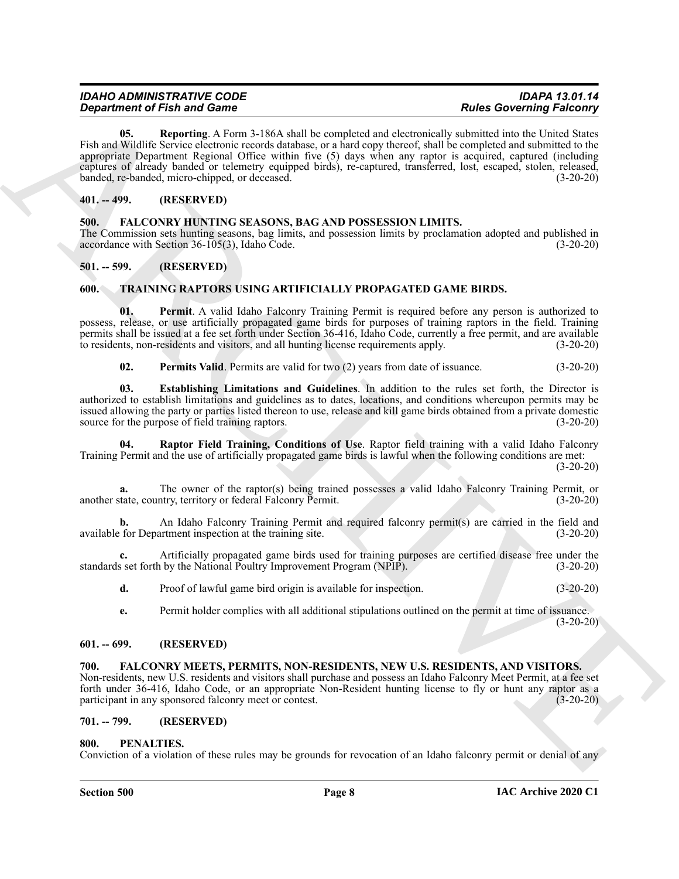| <b>IDAHO ADMINISTRATIVE CODE</b>   | <b>IDAPA 13.01.14</b>           |
|------------------------------------|---------------------------------|
| <b>Department of Fish and Game</b> | <b>Rules Governing Falconry</b> |

*Department of Finite and Conneiss* Constrained by Apple Dail strength and conneiss constrained by the strength and well of the strength and well of the strength and well of the strength and the strength and the strengt **05. Reporting**. A Form 3-186A shall be completed and electronically submitted into the United States Fish and Wildlife Service electronic records database, or a hard copy thereof, shall be completed and submitted to the appropriate Department Regional Office within five (5) days when any raptor is acquired, captured (including captures of already banded or telemetry equipped birds), re-captured, transferred, lost, escaped, stolen, released, banded, re-banded, micro-chipped, or deceased. (3-20-20)

#### <span id="page-7-8"></span><span id="page-7-0"></span>**401. -- 499. (RESERVED)**

<span id="page-7-1"></span>**500. FALCONRY HUNTING SEASONS, BAG AND POSSESSION LIMITS.** The Commission sets hunting seasons, bag limits, and possession limits by proclamation adopted and published in accordance with Section 36-105(3), Idaho Code. accordance with Section  $36-105(3)$ , Idaho Code.

#### <span id="page-7-2"></span>**501. -- 599. (RESERVED)**

#### <span id="page-7-11"></span><span id="page-7-3"></span>**600. TRAINING RAPTORS USING ARTIFICIALLY PROPAGATED GAME BIRDS.**

**01. Permit**. A valid Idaho Falconry Training Permit is required before any person is authorized to possess, release, or use artificially propagated game birds for purposes of training raptors in the field. Training permits shall be issued at a fee set forth under Section 36-416, Idaho Code, currently a free permit, and are available to residents, non-residents and visitors, and all hunting license requirements apply. (3-20-20)

<span id="page-7-15"></span><span id="page-7-14"></span><span id="page-7-13"></span><span id="page-7-12"></span>**02.** Permits Valid. Permits are valid for two (2) years from date of issuance. (3-20-20)

**03. Establishing Limitations and Guidelines**. In addition to the rules set forth, the Director is authorized to establish limitations and guidelines as to dates, locations, and conditions whereupon permits may be issued allowing the party or parties listed thereon to use, release and kill game birds obtained from a private domestic source for the purpose of field training raptors. (3-20-20)

**04. Raptor Field Training, Conditions of Use**. Raptor field training with a valid Idaho Falconry Training Permit and the use of artificially propagated game birds is lawful when the following conditions are met: (3-20-20)

**a.** The owner of the raptor(s) being trained possesses a valid Idaho Falconry Training Permit, or another state, country, territory or federal Falconry Permit. (3-20-20)

**b.** An Idaho Falconry Training Permit and required falconry permit(s) are carried in the field and for Department inspection at the training site. (3-20-20) available for Department inspection at the training site.

Artificially propagated game birds used for training purposes are certified disease free under the by the National Poultry Improvement Program (NPIP). (3-20-20) standards set forth by the National Poultry Improvement Program (NPIP).

**d.** Proof of lawful game bird origin is available for inspection. (3-20-20)

**e.** Permit holder complies with all additional stipulations outlined on the permit at time of issuance.  $(3-20-20)$ 

#### <span id="page-7-4"></span>**601. -- 699. (RESERVED)**

#### <span id="page-7-9"></span><span id="page-7-5"></span>**700. FALCONRY MEETS, PERMITS, NON-RESIDENTS, NEW U.S. RESIDENTS, AND VISITORS.**

Non-residents, new U.S. residents and visitors shall purchase and possess an Idaho Falconry Meet Permit, at a fee set forth under 36-416, Idaho Code, or an appropriate Non-Resident hunting license to fly or hunt any raptor as a participant in any sponsored falconry meet or contest. (3-20-20)

#### <span id="page-7-6"></span>**701. -- 799. (RESERVED)**

#### <span id="page-7-10"></span><span id="page-7-7"></span>**800. PENALTIES.**

Conviction of a violation of these rules may be grounds for revocation of an Idaho falconry permit or denial of any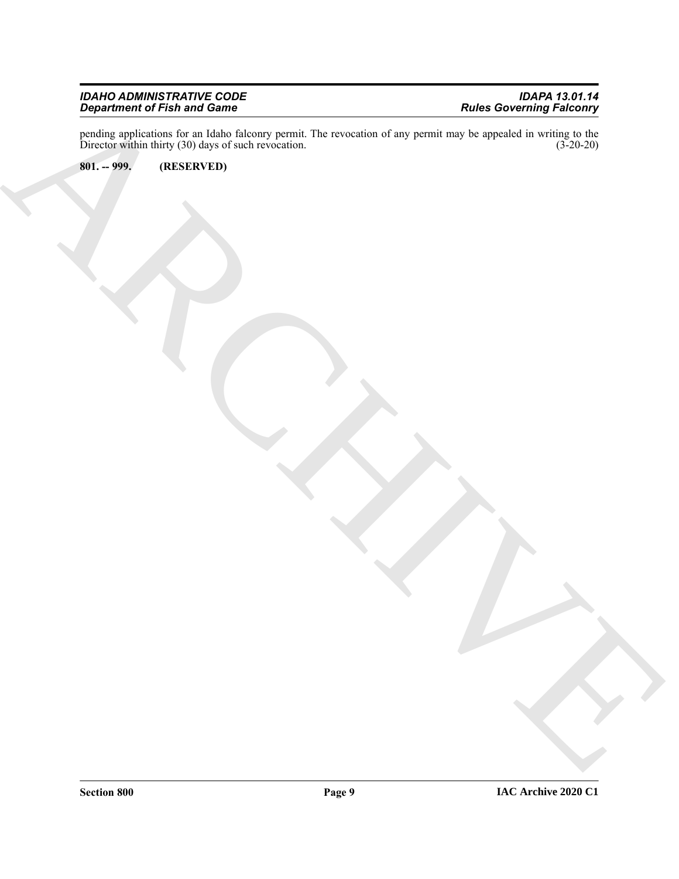#### *IDAHO ADMINISTRATIVE CODE IDAPA 13.01.14 Department of Fish and Game Rules Governing Falconry*

ARCHIVE pending applications for an Idaho falconry permit. The revocation of any permit may be appealed in writing to the Director within thirty (30) days of such revocation. (3-20-20)

<span id="page-8-0"></span>**801. -- 999. (RESERVED)**